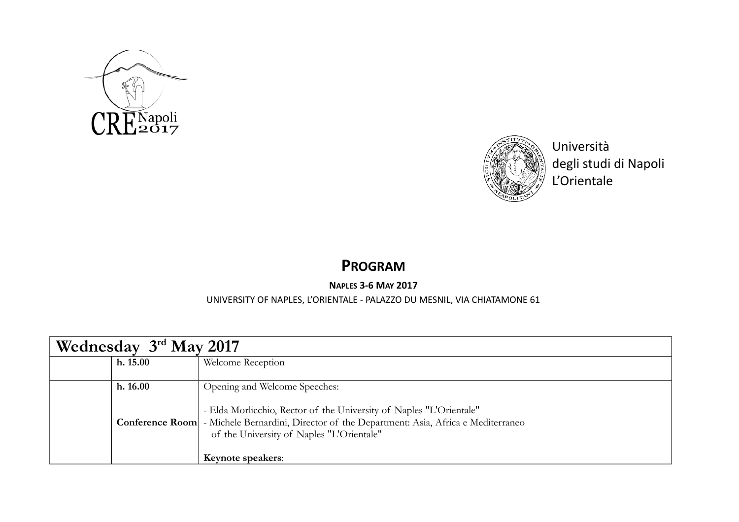



Università degli studi di Napoli L'Orientale

## **PROGRAM**

## **NAPLES 3-6 MAY 2017**

## UNIVERSITY OF NAPLES, L'ORIENTALE - PALAZZO DU MESNIL, VIA CHIATAMONE 61

| Wednesday 3rd May 2017 |                                                                                                                                                                                                              |  |  |
|------------------------|--------------------------------------------------------------------------------------------------------------------------------------------------------------------------------------------------------------|--|--|
| h. 15.00               | Welcome Reception                                                                                                                                                                                            |  |  |
| h. 16.00               | Opening and Welcome Speeches:<br>- Elda Morlicchio, Rector of the University of Naples "L'Orientale"<br><b>Conference Room</b> - Michele Bernardini, Director of the Department: Asia, Africa e Mediterraneo |  |  |
|                        | of the University of Naples "L'Orientale"<br>Keynote speakers:                                                                                                                                               |  |  |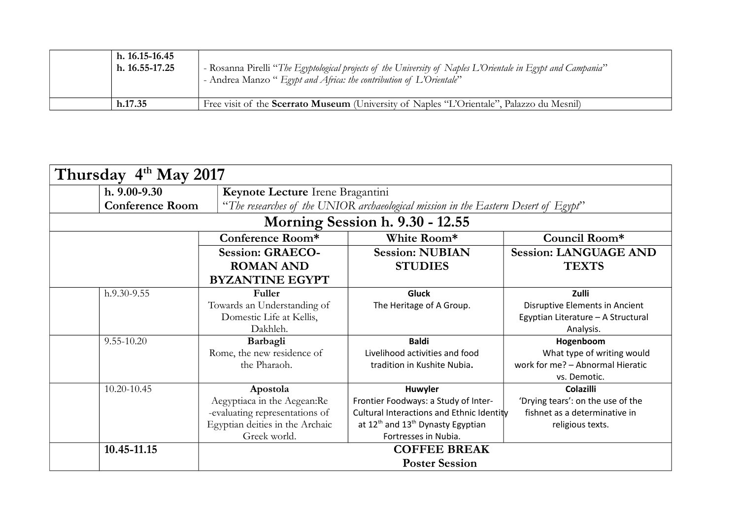| h. 16.15-16.45<br>$h. 16.55 - 17.25$ | - Rosanna Pirelli "The Egyptological projects of the University of Naples L'Orientale in Egypt and Campania"<br>- Andrea Manzo " Egypt and Africa: the contribution of L'Orientale" |
|--------------------------------------|-------------------------------------------------------------------------------------------------------------------------------------------------------------------------------------|
| h.17.35                              | Free visit of the <b>Scerrato Museum</b> (University of Naples "L'Orientale", Palazzo du Mesnil)                                                                                    |

| Thursday 4th May 2017  |                                 |                                  |                                                                                     |                                    |  |  |  |
|------------------------|---------------------------------|----------------------------------|-------------------------------------------------------------------------------------|------------------------------------|--|--|--|
| $h. 9.00 - 9.30$       |                                 | Keynote Lecture Irene Bragantini |                                                                                     |                                    |  |  |  |
| <b>Conference Room</b> |                                 |                                  | "The researches of the UNIOR archaeological mission in the Eastern Desert of Egypt" |                                    |  |  |  |
|                        | Morning Session h. 9.30 - 12.55 |                                  |                                                                                     |                                    |  |  |  |
|                        |                                 | Conference Room*                 | White Room*                                                                         | Council Room*                      |  |  |  |
|                        |                                 | <b>Session: GRAECO-</b>          | <b>Session: NUBIAN</b>                                                              | <b>Session: LANGUAGE AND</b>       |  |  |  |
|                        |                                 | <b>ROMAN AND</b>                 | <b>STUDIES</b>                                                                      | <b>TEXTS</b>                       |  |  |  |
|                        |                                 | <b>BYZANTINE EGYPT</b>           |                                                                                     |                                    |  |  |  |
| h.9.30-9.55            |                                 | Fuller                           | <b>Gluck</b>                                                                        | Zulli                              |  |  |  |
|                        |                                 | Towards an Understanding of      | The Heritage of A Group.                                                            | Disruptive Elements in Ancient     |  |  |  |
|                        |                                 | Domestic Life at Kellis,         |                                                                                     | Egyptian Literature - A Structural |  |  |  |
|                        |                                 | Dakhleh.                         |                                                                                     | Analysis.                          |  |  |  |
| $9.55 - 10.20$         |                                 | Barbagli                         | <b>Baldi</b>                                                                        | Hogenboom                          |  |  |  |
|                        |                                 | Rome, the new residence of       | Livelihood activities and food                                                      | What type of writing would         |  |  |  |
|                        |                                 | the Pharaoh.                     | tradition in Kushite Nubia.                                                         | work for me? - Abnormal Hieratic   |  |  |  |
|                        |                                 |                                  |                                                                                     | vs. Demotic.                       |  |  |  |
| 10.20-10.45            |                                 | Apostola                         | Huwyler                                                                             | <b>Colazilli</b>                   |  |  |  |
|                        |                                 | Aegyptiaca in the Aegean:Re      | Frontier Foodways: a Study of Inter-                                                | 'Drying tears': on the use of the  |  |  |  |
|                        |                                 | -evaluating representations of   | Cultural Interactions and Ethnic Identity                                           | fishnet as a determinative in      |  |  |  |
|                        |                                 | Egyptian deities in the Archaic  | at $12^{th}$ and $13^{th}$ Dynasty Egyptian                                         | religious texts.                   |  |  |  |
|                        |                                 | Greek world.                     | Fortresses in Nubia.                                                                |                                    |  |  |  |
| 10.45-11.15            |                                 |                                  | <b>COFFEE BREAK</b>                                                                 |                                    |  |  |  |
|                        |                                 | <b>Poster Session</b>            |                                                                                     |                                    |  |  |  |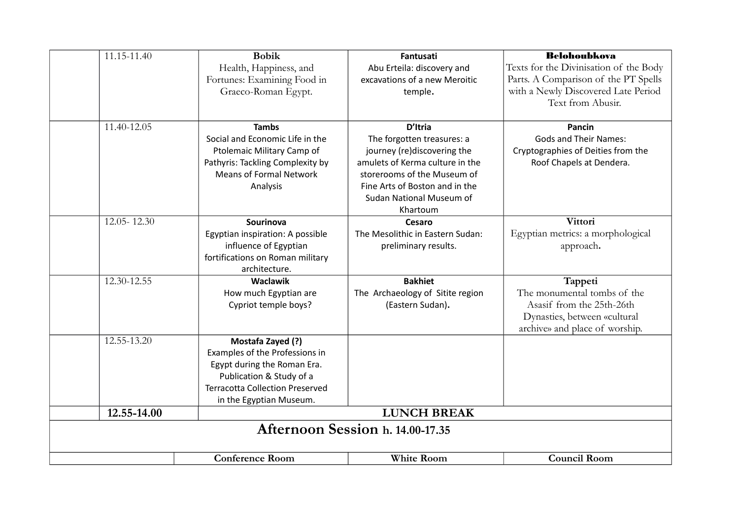| 11.15-11.40                      | <b>Bobik</b>                                                       | Fantusati                                                      | <b>Belohoubkova</b>                    |  |  |  |
|----------------------------------|--------------------------------------------------------------------|----------------------------------------------------------------|----------------------------------------|--|--|--|
|                                  | Health, Happiness, and                                             | Abu Erteila: discovery and                                     | Texts for the Divinisation of the Body |  |  |  |
|                                  | Fortunes: Examining Food in                                        | excavations of a new Meroitic                                  | Parts. A Comparison of the PT Spells   |  |  |  |
|                                  | Graeco-Roman Egypt.                                                | temple.                                                        | with a Newly Discovered Late Period    |  |  |  |
|                                  |                                                                    |                                                                | Text from Abusir.                      |  |  |  |
|                                  |                                                                    |                                                                |                                        |  |  |  |
| 11.40-12.05                      | <b>Tambs</b>                                                       | D'Itria                                                        | Pancin                                 |  |  |  |
|                                  | Social and Economic Life in the                                    | The forgotten treasures: a                                     | <b>Gods and Their Names:</b>           |  |  |  |
|                                  | Ptolemaic Military Camp of                                         | journey (re)discovering the                                    | Cryptographies of Deities from the     |  |  |  |
|                                  | Pathyris: Tackling Complexity by<br><b>Means of Formal Network</b> | amulets of Kerma culture in the<br>storerooms of the Museum of | Roof Chapels at Dendera.               |  |  |  |
|                                  |                                                                    | Fine Arts of Boston and in the                                 |                                        |  |  |  |
|                                  | Analysis                                                           | Sudan National Museum of                                       |                                        |  |  |  |
|                                  |                                                                    | Khartoum                                                       |                                        |  |  |  |
| 12.05-12.30                      | Sourinova                                                          | <b>Cesaro</b>                                                  | Vittori                                |  |  |  |
|                                  | Egyptian inspiration: A possible                                   | The Mesolithic in Eastern Sudan:                               | Egyptian metrics: a morphological      |  |  |  |
|                                  | influence of Egyptian                                              | preliminary results.                                           | approach.                              |  |  |  |
|                                  | fortifications on Roman military                                   |                                                                |                                        |  |  |  |
|                                  | architecture.                                                      |                                                                |                                        |  |  |  |
| 12.30-12.55                      | <b>Waclawik</b>                                                    | <b>Bakhiet</b>                                                 | Tappeti                                |  |  |  |
|                                  | How much Egyptian are                                              | The Archaeology of Sitite region                               | The monumental tombs of the            |  |  |  |
|                                  | Cypriot temple boys?                                               | (Eastern Sudan).                                               | Asasif from the 25th-26th              |  |  |  |
|                                  |                                                                    |                                                                | Dynasties, between «cultural           |  |  |  |
|                                  |                                                                    |                                                                | archive» and place of worship.         |  |  |  |
| 12.55-13.20                      | Mostafa Zayed (?)                                                  |                                                                |                                        |  |  |  |
|                                  | Examples of the Professions in                                     |                                                                |                                        |  |  |  |
|                                  | Egypt during the Roman Era.                                        |                                                                |                                        |  |  |  |
|                                  | Publication & Study of a<br><b>Terracotta Collection Preserved</b> |                                                                |                                        |  |  |  |
|                                  | in the Egyptian Museum.                                            |                                                                |                                        |  |  |  |
| 12.55-14.00                      |                                                                    | <b>LUNCH BREAK</b>                                             |                                        |  |  |  |
| Afternoon Session h. 14.00-17.35 |                                                                    |                                                                |                                        |  |  |  |
|                                  |                                                                    |                                                                |                                        |  |  |  |
|                                  |                                                                    |                                                                |                                        |  |  |  |
|                                  | <b>Conference Room</b>                                             | <b>White Room</b>                                              | <b>Council Room</b>                    |  |  |  |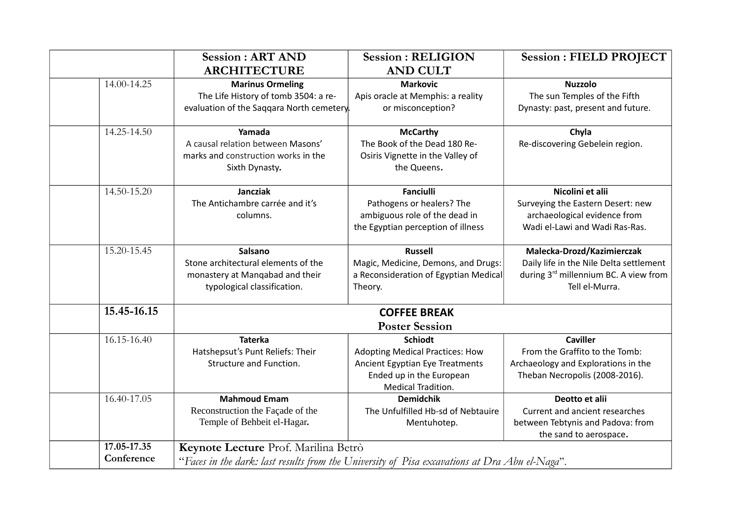|             | <b>Session: ART AND</b>                   | <b>Session: RELIGION</b>               | <b>Session: FIELD PROJECT</b>           |
|-------------|-------------------------------------------|----------------------------------------|-----------------------------------------|
|             | <b>ARCHITECTURE</b>                       | <b>AND CULT</b>                        |                                         |
| 14.00-14.25 | <b>Marinus Ormeling</b>                   | <b>Markovic</b>                        | <b>Nuzzolo</b>                          |
|             | The Life History of tomb 3504: a re-      | Apis oracle at Memphis: a reality      | The sun Temples of the Fifth            |
|             | evaluation of the Saggara North cemetery. | or misconception?                      | Dynasty: past, present and future.      |
| 14.25-14.50 | Yamada                                    | <b>McCarthy</b>                        | Chyla                                   |
|             | A causal relation between Masons'         | The Book of the Dead 180 Re-           | Re-discovering Gebelein region.         |
|             | marks and construction works in the       | Osiris Vignette in the Valley of       |                                         |
|             | Sixth Dynasty.                            | the Queens.                            |                                         |
| 14.50-15.20 | <b>Jancziak</b>                           | <b>Fanciulli</b>                       | Nicolini et alii                        |
|             | The Antichambre carrée and it's           | Pathogens or healers? The              | Surveying the Eastern Desert: new       |
|             | columns.                                  | ambiguous role of the dead in          | archaeological evidence from            |
|             |                                           | the Egyptian perception of illness     | Wadi el-Lawi and Wadi Ras-Ras.          |
| 15.20-15.45 | <b>Salsano</b>                            | <b>Russell</b>                         | Malecka-Drozd/Kazimierczak              |
|             | Stone architectural elements of the       | Magic, Medicine, Demons, and Drugs:    | Daily life in the Nile Delta settlement |
|             | monastery at Mangabad and their           | a Reconsideration of Egyptian Medical  | during 3rd millennium BC. A view from   |
|             | typological classification.               | Theory.                                | Tell el-Murra.                          |
| 15.45-16.15 |                                           | <b>COFFEE BREAK</b>                    |                                         |
|             |                                           | <b>Poster Session</b>                  |                                         |
| 16.15-16.40 | <b>Taterka</b>                            | <b>Schiodt</b>                         | <b>Caviller</b>                         |
|             | Hatshepsut's Punt Reliefs: Their          | <b>Adopting Medical Practices: How</b> | From the Graffito to the Tomb:          |
|             | Structure and Function.                   | Ancient Egyptian Eye Treatments        | Archaeology and Explorations in the     |
|             |                                           | Ended up in the European               | Theban Necropolis (2008-2016).          |
|             |                                           | Medical Tradition.                     |                                         |
| 16.40-17.05 | <b>Mahmoud Emam</b>                       | <b>Demidchik</b>                       | Deotto et alii                          |
|             | Reconstruction the Façade of the          | The Unfulfilled Hb-sd of Nebtauire     | Current and ancient researches          |
|             | Temple of Behbeit el-Hagar.               | Mentuhotep.                            | between Tebtynis and Padova: from       |
|             |                                           |                                        | the sand to aerospace.                  |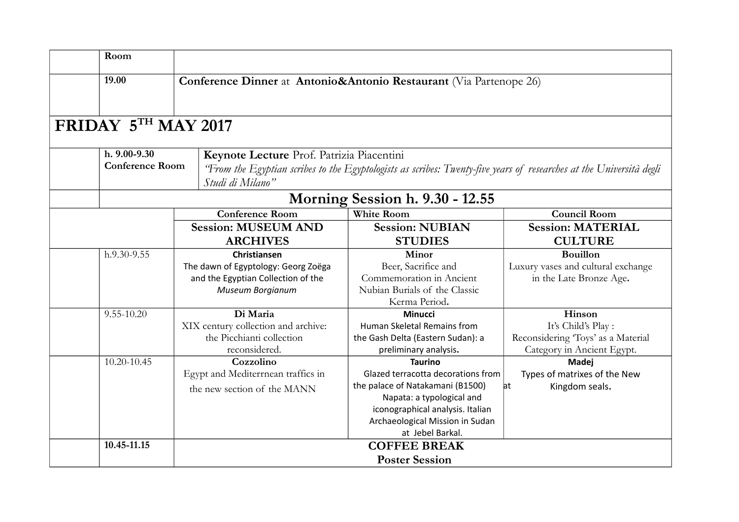| Room                                                                        |  |                                                                                                                                         |                                                                     |                                    |  |
|-----------------------------------------------------------------------------|--|-----------------------------------------------------------------------------------------------------------------------------------------|---------------------------------------------------------------------|------------------------------------|--|
| 19.00<br>Conference Dinner at Antonio&Antonio Restaurant (Via Partenope 26) |  |                                                                                                                                         |                                                                     |                                    |  |
| FRIDAY 5TH MAY 2017                                                         |  |                                                                                                                                         |                                                                     |                                    |  |
| h. 9.00-9.30                                                                |  | Keynote Lecture Prof. Patrizia Piacentini                                                                                               |                                                                     |                                    |  |
| <b>Conference Room</b>                                                      |  | 'From the Egyptian scribes to the Egyptologists as scribes: Twenty-five years of researches at the Università degli<br>Studi di Milano" |                                                                     |                                    |  |
|                                                                             |  |                                                                                                                                         | Morning Session h. 9.30 - 12.55                                     |                                    |  |
|                                                                             |  | <b>Conference Room</b>                                                                                                                  | <b>White Room</b>                                                   | <b>Council Room</b>                |  |
|                                                                             |  | <b>Session: MUSEUM AND</b>                                                                                                              | <b>Session: NUBIAN</b>                                              | <b>Session: MATERIAL</b>           |  |
|                                                                             |  | <b>ARCHIVES</b>                                                                                                                         | <b>STUDIES</b>                                                      | <b>CULTURE</b>                     |  |
| h.9.30-9.55                                                                 |  | <b>Christiansen</b>                                                                                                                     | Minor                                                               | <b>Bouillon</b>                    |  |
|                                                                             |  | The dawn of Egyptology: Georg Zoëga                                                                                                     | Beer, Sacrifice and                                                 | Luxury vases and cultural exchange |  |
|                                                                             |  | and the Egyptian Collection of the                                                                                                      | Commemoration in Ancient                                            | in the Late Bronze Age.            |  |
|                                                                             |  | Museum Borgianum                                                                                                                        | Nubian Burials of the Classic                                       |                                    |  |
|                                                                             |  |                                                                                                                                         | Kerma Period.                                                       |                                    |  |
| 9.55-10.20                                                                  |  | Di Maria                                                                                                                                | <b>Minucci</b>                                                      | Hinson                             |  |
|                                                                             |  | XIX century collection and archive:                                                                                                     | Human Skeletal Remains from                                         | It's Child's Play:                 |  |
|                                                                             |  | the Picchianti collection                                                                                                               | the Gash Delta (Eastern Sudan): a                                   | Reconsidering 'Toys' as a Material |  |
|                                                                             |  | reconsidered.                                                                                                                           | preliminary analysis.                                               | Category in Ancient Egypt.         |  |
| 10.20-10.45                                                                 |  | Cozzolino                                                                                                                               | <b>Taurino</b>                                                      | Madej                              |  |
|                                                                             |  | Egypt and Mediterrnean traffics in                                                                                                      | Glazed terracotta decorations from                                  | Types of matrixes of the New       |  |
|                                                                             |  | the new section of the MANN                                                                                                             | the palace of Natakamani (B1500)                                    | at<br>Kingdom seals.               |  |
|                                                                             |  |                                                                                                                                         | Napata: a typological and                                           |                                    |  |
|                                                                             |  |                                                                                                                                         | iconographical analysis. Italian<br>Archaeological Mission in Sudan |                                    |  |
|                                                                             |  |                                                                                                                                         | at Jebel Barkal.                                                    |                                    |  |
| 10.45-11.15<br><b>COFFEE BREAK</b>                                          |  |                                                                                                                                         |                                                                     |                                    |  |
|                                                                             |  |                                                                                                                                         |                                                                     |                                    |  |
|                                                                             |  |                                                                                                                                         | <b>Poster Session</b>                                               |                                    |  |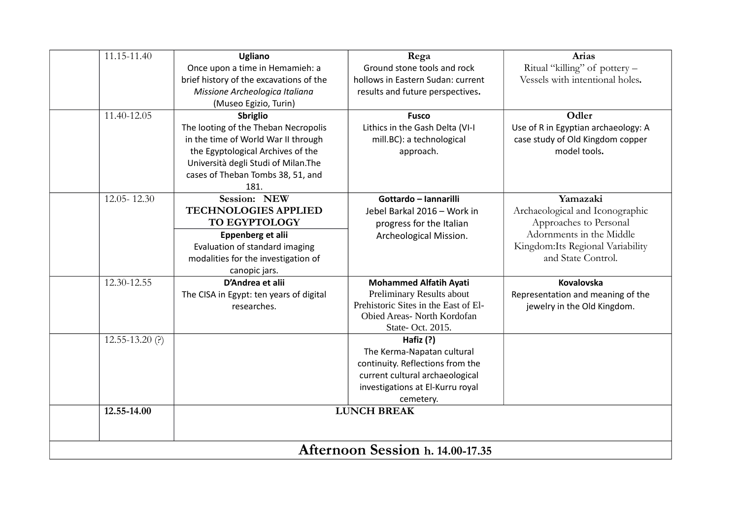| 11.15-11.40         | <b>Ugliano</b>                          | Rega                                 | Arias                               |  |  |  |
|---------------------|-----------------------------------------|--------------------------------------|-------------------------------------|--|--|--|
|                     | Once upon a time in Hemamieh: a         | Ground stone tools and rock          | Ritual "killing" of pottery -       |  |  |  |
|                     | brief history of the excavations of the | hollows in Eastern Sudan: current    | Vessels with intentional holes.     |  |  |  |
|                     | Missione Archeologica Italiana          | results and future perspectives.     |                                     |  |  |  |
|                     | (Museo Egizio, Turin)                   |                                      |                                     |  |  |  |
| 11.40-12.05         | Sbriglio                                | <b>Fusco</b>                         | Odler                               |  |  |  |
|                     | The looting of the Theban Necropolis    | Lithics in the Gash Delta (VI-I      | Use of R in Egyptian archaeology: A |  |  |  |
|                     | in the time of World War II through     | mill.BC): a technological            | case study of Old Kingdom copper    |  |  |  |
|                     | the Egyptological Archives of the       | approach.                            | model tools.                        |  |  |  |
|                     | Università degli Studi of Milan.The     |                                      |                                     |  |  |  |
|                     | cases of Theban Tombs 38, 51, and       |                                      |                                     |  |  |  |
|                     | 181.                                    |                                      |                                     |  |  |  |
| 12.05-12.30         | Session: NEW                            | Gottardo - Iannarilli                | Yamazaki                            |  |  |  |
|                     | <b>TECHNOLOGIES APPLIED</b>             | Jebel Barkal 2016 - Work in          | Archaeological and Iconographic     |  |  |  |
|                     | TO EGYPTOLOGY                           | progress for the Italian             | Approaches to Personal              |  |  |  |
|                     | Eppenberg et alii                       | Archeological Mission.               | Adornments in the Middle            |  |  |  |
|                     | Evaluation of standard imaging          |                                      | Kingdom: Its Regional Variability   |  |  |  |
|                     | modalities for the investigation of     |                                      | and State Control.                  |  |  |  |
|                     | canopic jars.                           |                                      |                                     |  |  |  |
| 12.30-12.55         | D'Andrea et alii                        | <b>Mohammed Alfatih Ayati</b>        | Kovalovska                          |  |  |  |
|                     | The CISA in Egypt: ten years of digital | Preliminary Results about            | Representation and meaning of the   |  |  |  |
|                     | researches.                             | Prehistoric Sites in the East of El- | jewelry in the Old Kingdom.         |  |  |  |
|                     |                                         | Obied Areas- North Kordofan          |                                     |  |  |  |
|                     |                                         | State- Oct. 2015.                    |                                     |  |  |  |
| $12.55 - 13.20$ (?) |                                         | Hafiz $(?)$                          |                                     |  |  |  |
|                     |                                         | The Kerma-Napatan cultural           |                                     |  |  |  |
|                     |                                         | continuity. Reflections from the     |                                     |  |  |  |
|                     |                                         | current cultural archaeological      |                                     |  |  |  |
|                     |                                         | investigations at El-Kurru royal     |                                     |  |  |  |
|                     |                                         | cemetery.                            |                                     |  |  |  |
| 12.55-14.00         |                                         | <b>LUNCH BREAK</b>                   |                                     |  |  |  |
|                     |                                         |                                      |                                     |  |  |  |
|                     |                                         |                                      |                                     |  |  |  |
|                     | Afternoon Session h. 14.00-17.35        |                                      |                                     |  |  |  |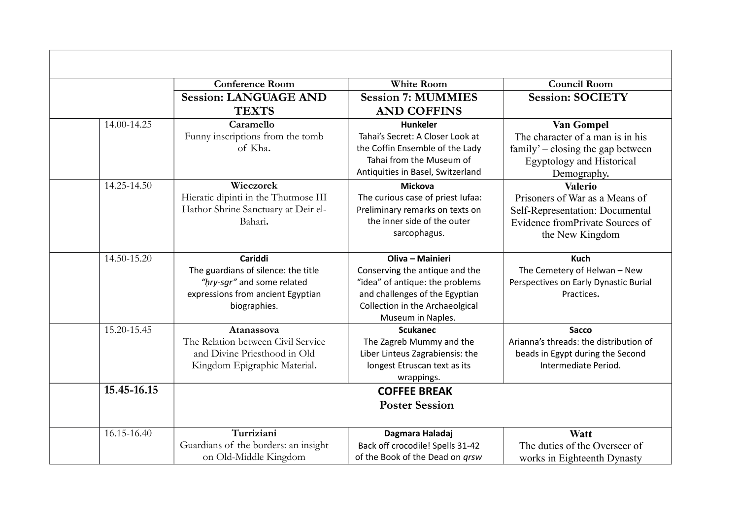|             | <b>Conference Room</b>                                                                                                            | <b>White Room</b>                                                                                                                                                               | <b>Council Room</b>                                                                                                                        |
|-------------|-----------------------------------------------------------------------------------------------------------------------------------|---------------------------------------------------------------------------------------------------------------------------------------------------------------------------------|--------------------------------------------------------------------------------------------------------------------------------------------|
|             | <b>Session: LANGUAGE AND</b><br><b>TEXTS</b>                                                                                      | <b>Session 7: MUMMIES</b><br><b>AND COFFINS</b>                                                                                                                                 | <b>Session: SOCIETY</b>                                                                                                                    |
| 14.00-14.25 | Caramello<br>Funny inscriptions from the tomb<br>of Kha.                                                                          | <b>Hunkeler</b><br>Tahai's Secret: A Closer Look at<br>the Coffin Ensemble of the Lady<br>Tahai from the Museum of<br>Antiquities in Basel, Switzerland                         | Van Gompel<br>The character of a man is in his<br>$family' - closing$ the gap between<br><b>Egyptology and Historical</b><br>Demography.   |
| 14.25-14.50 | Wieczorek<br>Hieratic dipinti in the Thutmose III<br>Hathor Shrine Sanctuary at Deir el-<br>Bahari.                               | <b>Mickova</b><br>The curious case of priest lufaa:<br>Preliminary remarks on texts on<br>the inner side of the outer<br>sarcophagus.                                           | <b>Valerio</b><br>Prisoners of War as a Means of<br>Self-Representation: Documental<br>Evidence from Private Sources of<br>the New Kingdom |
| 14.50-15.20 | Cariddi<br>The guardians of silence: the title<br>"hry-sgr" and some related<br>expressions from ancient Egyptian<br>biographies. | Oliva - Mainieri<br>Conserving the antique and the<br>"idea" of antique: the problems<br>and challenges of the Egyptian<br>Collection in the Archaeolgical<br>Museum in Naples. | <b>Kuch</b><br>The Cemetery of Helwan - New<br>Perspectives on Early Dynastic Burial<br>Practices.                                         |
| 15.20-15.45 | Atanassova<br>The Relation between Civil Service<br>and Divine Priesthood in Old<br>Kingdom Epigraphic Material.                  | <b>Scukanec</b><br>The Zagreb Mummy and the<br>Liber Linteus Zagrabiensis: the<br>longest Etruscan text as its<br>wrappings.                                                    | <b>Sacco</b><br>Arianna's threads: the distribution of<br>beads in Egypt during the Second<br>Intermediate Period.                         |
| 15.45-16.15 |                                                                                                                                   | <b>COFFEE BREAK</b><br><b>Poster Session</b>                                                                                                                                    |                                                                                                                                            |
| 16.15-16.40 | Turriziani<br>Guardians of the borders: an insight<br>on Old-Middle Kingdom                                                       | Dagmara Haladaj<br>Back off crocodile! Spells 31-42<br>of the Book of the Dead on grsw                                                                                          | <b>Watt</b><br>The duties of the Overseer of<br>works in Eighteenth Dynasty                                                                |

 $\blacksquare$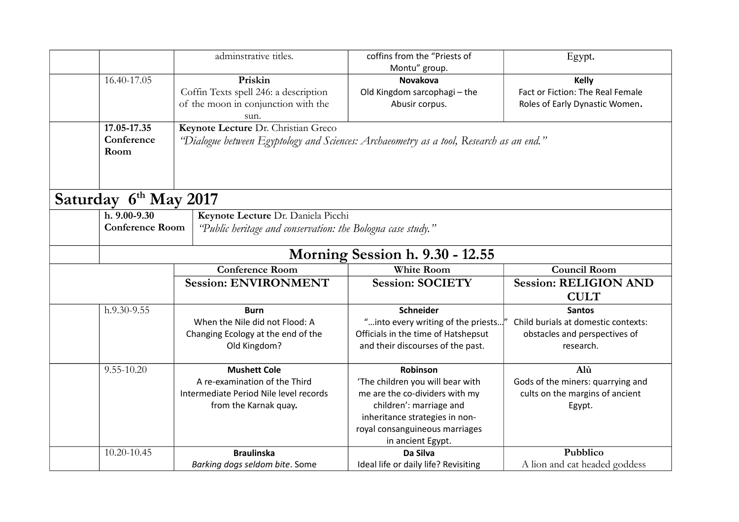|                                            | adminstrative titles.                                                                                                          | coffins from the "Priests of<br>Montu" group.                                                                                                                                                      | Egypt.                                                                                             |
|--------------------------------------------|--------------------------------------------------------------------------------------------------------------------------------|----------------------------------------------------------------------------------------------------------------------------------------------------------------------------------------------------|----------------------------------------------------------------------------------------------------|
| 16.40-17.05                                | Priskin<br>Coffin Texts spell 246: a description<br>of the moon in conjunction with the<br>sun.                                | <b>Novakova</b><br>Old Kingdom sarcophagi - the<br>Abusir corpus.                                                                                                                                  | <b>Kelly</b><br>Fact or Fiction: The Real Female<br>Roles of Early Dynastic Women.                 |
| 17.05-17.35<br>Conference<br>Room          | Keynote Lecture Dr. Christian Greco<br>"Dialogue between Egyptology and Sciences: Archaeometry as a tool, Research as an end." |                                                                                                                                                                                                    |                                                                                                    |
| Saturday 6 <sup>th</sup> May 2017          |                                                                                                                                |                                                                                                                                                                                                    |                                                                                                    |
| $h. 9.00 - 9.30$<br><b>Conference Room</b> | Keynote Lecture Dr. Daniela Picchi<br>"Public heritage and conservation: the Bologna case study."                              |                                                                                                                                                                                                    |                                                                                                    |
|                                            |                                                                                                                                | Morning Session h. 9.30 - 12.55                                                                                                                                                                    |                                                                                                    |
|                                            | <b>Conference Room</b>                                                                                                         | <b>White Room</b>                                                                                                                                                                                  | <b>Council Room</b>                                                                                |
|                                            | <b>Session: ENVIRONMENT</b>                                                                                                    | <b>Session: SOCIETY</b>                                                                                                                                                                            | <b>Session: RELIGION AND</b><br><b>CULT</b>                                                        |
| h.9.30-9.55                                | <b>Burn</b><br>When the Nile did not Flood: A<br>Changing Ecology at the end of the<br>Old Kingdom?                            | Schneider<br>"into every writing of the priests<br>Officials in the time of Hatshepsut<br>and their discourses of the past.                                                                        | <b>Santos</b><br>Child burials at domestic contexts:<br>obstacles and perspectives of<br>research. |
| $9.55 - 10.20$                             | <b>Mushett Cole</b><br>A re-examination of the Third<br>Intermediate Period Nile level records<br>from the Karnak quay.        | Robinson<br>'The children you will bear with<br>me are the co-dividers with my<br>children': marriage and<br>inheritance strategies in non-<br>royal consanguineous marriages<br>in ancient Egypt. | Alù<br>Gods of the miners: quarrying and<br>cults on the margins of ancient<br>Egypt.              |
| 10.20-10.45                                | <b>Braulinska</b>                                                                                                              | Da Silva                                                                                                                                                                                           | Pubblico                                                                                           |
|                                            | Barking dogs seldom bite. Some                                                                                                 | Ideal life or daily life? Revisiting                                                                                                                                                               | A lion and cat headed goddess                                                                      |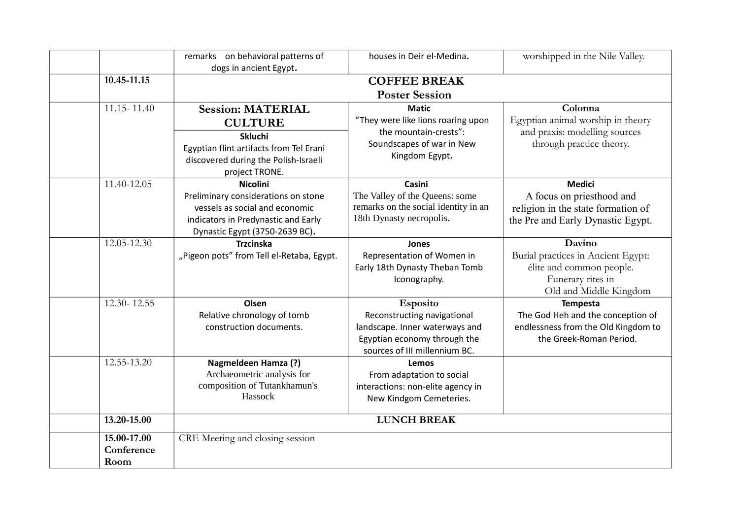|                 | remarks on behavioral patterns of                      | houses in Deir el-Medina.                                      | worshipped in the Nile Valley.                                 |  |  |
|-----------------|--------------------------------------------------------|----------------------------------------------------------------|----------------------------------------------------------------|--|--|
|                 | dogs in ancient Egypt.                                 |                                                                |                                                                |  |  |
| 10.45-11.15     | <b>COFFEE BREAK</b>                                    |                                                                |                                                                |  |  |
|                 | <b>Poster Session</b>                                  |                                                                |                                                                |  |  |
| 11.15 - 11.40   | <b>Session: MATERIAL</b>                               | <b>Matic</b><br>"They were like lions roaring upon             | Colonna<br>Egyptian animal worship in theory                   |  |  |
|                 | <b>CULTURE</b>                                         | the mountain-crests":                                          | and praxis: modelling sources                                  |  |  |
|                 | <b>Skluchi</b>                                         | Soundscapes of war in New                                      | through practice theory.                                       |  |  |
|                 | Egyptian flint artifacts from Tel Erani                | Kingdom Egypt.                                                 |                                                                |  |  |
|                 | discovered during the Polish-Israeli<br>project TRONE. |                                                                |                                                                |  |  |
| 11.40-12.05     | <b>Nicolini</b>                                        | Casini                                                         | <b>Medici</b>                                                  |  |  |
|                 | Preliminary considerations on stone                    | The Valley of the Queens: some                                 | A focus on priesthood and                                      |  |  |
|                 | vessels as social and economic                         | remarks on the social identity in an                           | religion in the state formation of                             |  |  |
|                 | indicators in Predynastic and Early                    | 18th Dynasty necropolis.                                       | the Pre and Early Dynastic Egypt.                              |  |  |
|                 | Dynastic Egypt (3750-2639 BC).                         |                                                                |                                                                |  |  |
| 12.05-12.30     | <b>Trzcinska</b>                                       | Jones                                                          | Davino                                                         |  |  |
|                 | "Pigeon pots" from Tell el-Retaba, Egypt.              | Representation of Women in                                     | Burial practices in Ancient Egypt:                             |  |  |
|                 |                                                        | Early 18th Dynasty Theban Tomb                                 | élite and common people.                                       |  |  |
|                 |                                                        | Iconography.                                                   | Funerary rites in                                              |  |  |
|                 |                                                        |                                                                | Old and Middle Kingdom                                         |  |  |
| $12.30 - 12.55$ | Olsen                                                  | <b>Esposito</b>                                                | <b>Tempesta</b>                                                |  |  |
|                 | Relative chronology of tomb                            | Reconstructing navigational                                    | The God Heh and the conception of                              |  |  |
|                 | construction documents.                                | landscape. Inner waterways and<br>Egyptian economy through the | endlessness from the Old Kingdom to<br>the Greek-Roman Period. |  |  |
|                 |                                                        | sources of III millennium BC.                                  |                                                                |  |  |
| 12.55-13.20     | <b>Nagmeldeen Hamza (?)</b>                            | Lemos                                                          |                                                                |  |  |
|                 | Archaeometric analysis for                             | From adaptation to social                                      |                                                                |  |  |
|                 | composition of Tutankhamun's                           | interactions: non-elite agency in                              |                                                                |  |  |
|                 | Hassock                                                | New Kindgom Cemeteries.                                        |                                                                |  |  |
| 13.20-15.00     |                                                        | <b>LUNCH BREAK</b>                                             |                                                                |  |  |
| 15.00-17.00     | CRE Meeting and closing session                        |                                                                |                                                                |  |  |
| Conference      |                                                        |                                                                |                                                                |  |  |
| Room            |                                                        |                                                                |                                                                |  |  |